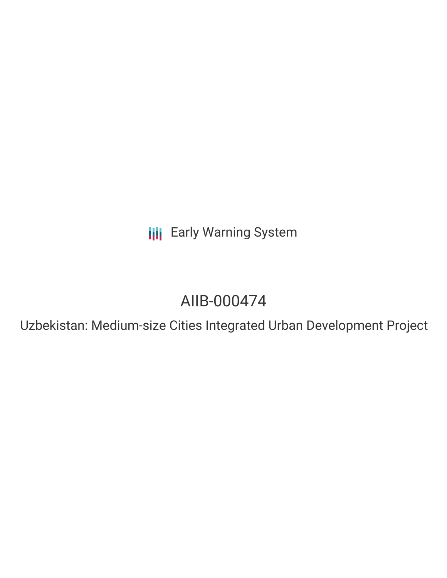**III** Early Warning System

# AIIB-000474

Uzbekistan: Medium-size Cities Integrated Urban Development Project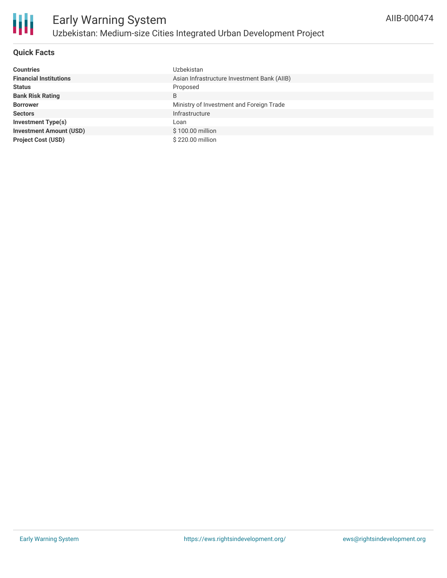

## **Quick Facts**

| <b>Countries</b>               | <b>Uzbekistan</b>                           |
|--------------------------------|---------------------------------------------|
| <b>Financial Institutions</b>  | Asian Infrastructure Investment Bank (AIIB) |
| <b>Status</b>                  | Proposed                                    |
| <b>Bank Risk Rating</b>        | B                                           |
| <b>Borrower</b>                | Ministry of Investment and Foreign Trade    |
| <b>Sectors</b>                 | Infrastructure                              |
| <b>Investment Type(s)</b>      | Loan                                        |
| <b>Investment Amount (USD)</b> | \$100.00 million                            |
| <b>Project Cost (USD)</b>      | \$220.00 million                            |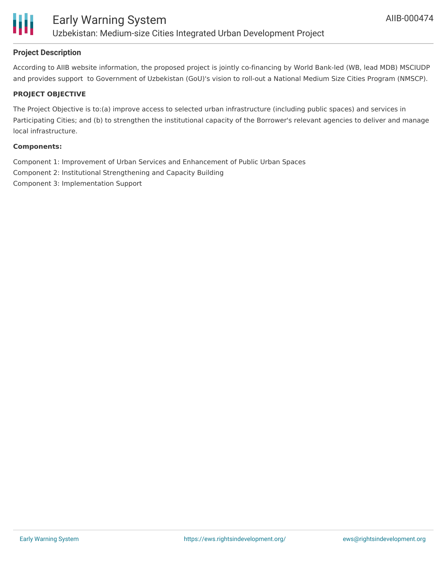

# **Project Description**

According to AIIB website information, the proposed project is jointly co-financing by World Bank-led (WB, lead MDB) MSCIUDP and provides support to Government of Uzbekistan (GoU)'s vision to roll-out a National Medium Size Cities Program (NMSCP).

## **PROJECT OBJECTIVE**

The Project Objective is to:(a) improve access to selected urban infrastructure (including public spaces) and services in Participating Cities; and (b) to strengthen the institutional capacity of the Borrower's relevant agencies to deliver and manage local infrastructure.

#### **Components:**

Component 1: Improvement of Urban Services and Enhancement of Public Urban Spaces Component 2: Institutional Strengthening and Capacity Building Component 3: Implementation Support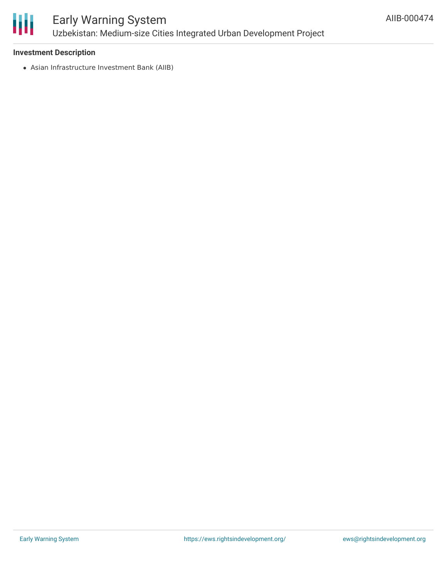

# Early Warning System Uzbekistan: Medium-size Cities Integrated Urban Development Project

## **Investment Description**

Asian Infrastructure Investment Bank (AIIB)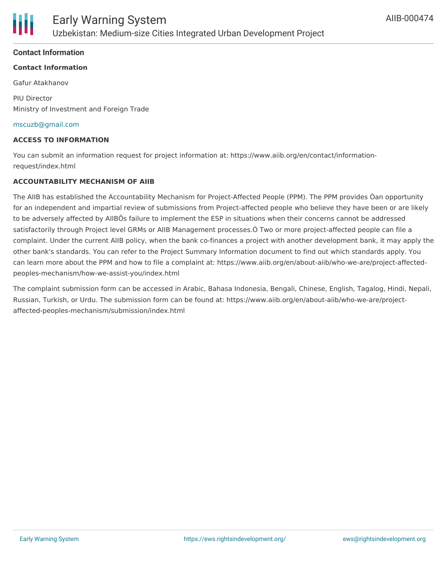### **Contact Information**

## **Contact Information**

Gafur Atakhanov

PIU Director Ministry of Investment and Foreign Trade

#### [mscuzb@gmail.com](mailto:mscuzb@gmail.com)

#### **ACCESS TO INFORMATION**

You can submit an information request for project information at: https://www.aiib.org/en/contact/informationrequest/index.html

#### **ACCOUNTABILITY MECHANISM OF AIIB**

The AIIB has established the Accountability Mechanism for Project-Affected People (PPM). The PPM provides Òan opportunity for an independent and impartial review of submissions from Project-affected people who believe they have been or are likely to be adversely affected by AIIBÕs failure to implement the ESP in situations when their concerns cannot be addressed satisfactorily through Project level GRMs or AIIB Management processes.Ó Two or more project-affected people can file a complaint. Under the current AIIB policy, when the bank co-finances a project with another development bank, it may apply the other bank's standards. You can refer to the Project Summary Information document to find out which standards apply. You can learn more about the PPM and how to file a complaint at: https://www.aiib.org/en/about-aiib/who-we-are/project-affectedpeoples-mechanism/how-we-assist-you/index.html

The complaint submission form can be accessed in Arabic, Bahasa Indonesia, Bengali, Chinese, English, Tagalog, Hindi, Nepali, Russian, Turkish, or Urdu. The submission form can be found at: https://www.aiib.org/en/about-aiib/who-we-are/projectaffected-peoples-mechanism/submission/index.html